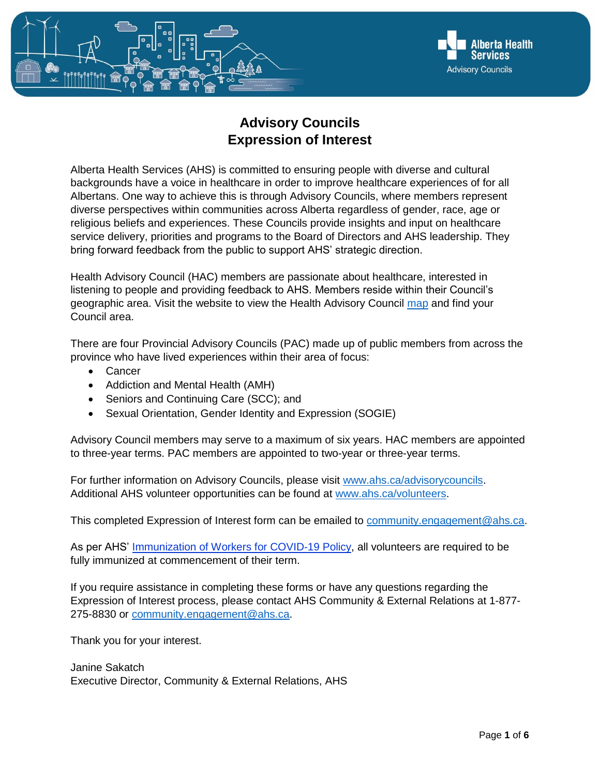

## **Advisory Councils Expression of Interest**

Alberta Health Services (AHS) is committed to ensuring people with diverse and cultural backgrounds have a voice in healthcare in order to improve healthcare experiences of for all Albertans. One way to achieve this is through Advisory Councils, where members represent diverse perspectives within communities across Alberta regardless of gender, race, age or religious beliefs and experiences. These Councils provide insights and input on healthcare service delivery, priorities and programs to the Board of Directors and AHS leadership. They bring forward feedback from the public to support AHS' strategic direction.

Health Advisory Council (HAC) members are passionate about healthcare, interested in listening to people and providing feedback to AHS. Members reside within their Council's geographic area. Visit the website to view the Health Advisory Council [map](https://www.albertahealthservices.ca/assets/wf/hac/wf-hac-map.pdf) and find your Council area.

There are four Provincial Advisory Councils (PAC) made up of public members from across the province who have lived experiences within their area of focus:

- Cancer
- Addiction and Mental Health (AMH)
- Seniors and Continuing Care (SCC); and
- Sexual Orientation, Gender Identity and Expression (SOGIE)

Advisory Council members may serve to a maximum of six years. HAC members are appointed to three-year terms. PAC members are appointed to two-year or three-year terms.

For further information on Advisory Councils, please visit [www.ahs.ca/advisorycouncils.](http://www.ahs.ca/advisorycouncils) Additional AHS volunteer opportunities can be found at [www.ahs.ca/volunteers.](http://www.ahs.ca/volunteers)

This completed Expression of Interest form can be emailed to [community.engagement@ahs.ca.](mailto:community.engagement@ahs.ca)

As per AHS' [Immunization of Workers for COVID-19 Policy,](https://extranet.ahsnet.ca/teams/policydocuments/1/clp-ahs-immunization-workers-1189.pdf) all volunteers are required to be fully immunized at commencement of their term.

If you require assistance in completing these forms or have any questions regarding the Expression of Interest process, please contact AHS Community & External Relations at 1-877- 275-8830 or [community.engagement@ahs.ca.](mailto:community.engagement@ahs.ca)

Thank you for your interest.

Janine Sakatch Executive Director, Community & External Relations, AHS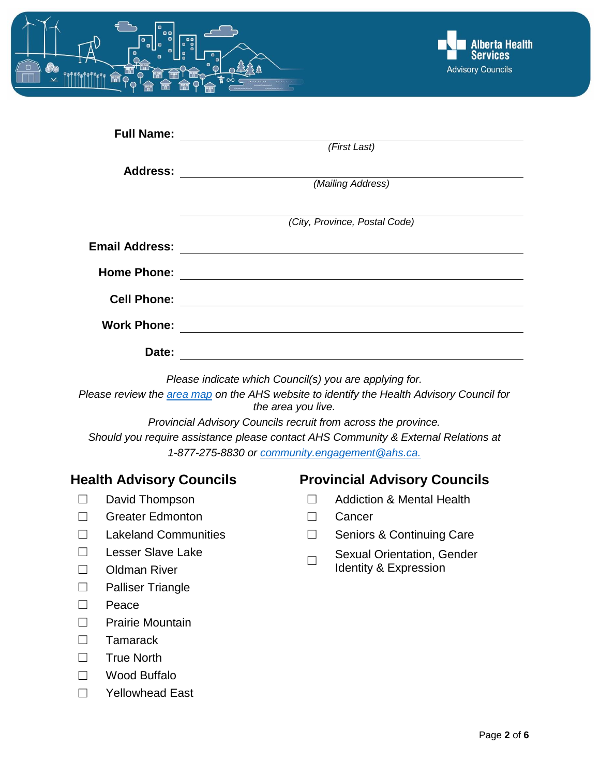



| <b>Full Name:</b>     |                               |
|-----------------------|-------------------------------|
|                       | (First Last)                  |
| <b>Address:</b>       |                               |
|                       | (Mailing Address)             |
|                       |                               |
|                       | (City, Province, Postal Code) |
| <b>Email Address:</b> |                               |
| <b>Home Phone:</b>    |                               |
| <b>Cell Phone:</b>    |                               |
| <b>Work Phone:</b>    |                               |
| Date:                 |                               |

*Please indicate which Council(s) you are applying for.*

*Please review the [area map](https://www.albertahealthservices.ca/assets/wf/hac/wf-hac-map.pdf) on the AHS website to identify the Health Advisory Council for the area you live.*

*Provincial Advisory Councils recruit from across the province. Should you require assistance please contact AHS Community & External Relations at 1-877-275-8830 or [community.engagement@ahs.ca.](mailto:community.engagement@ahs.ca)*

- 
- ☐ Greater Edmonton ☐ Cancer
- 
- ☐ Lesser Slave Lake
- 
- ☐ Palliser Triangle
- ☐ Peace
- ☐ Prairie Mountain
- ☐ Tamarack
- ☐ True North
- ☐ Wood Buffalo
- ☐ Yellowhead East

#### **Health Advisory Councils Provincial Advisory Councils**

- ☐ David Thompson ☐ Addiction & Mental Health
	-
- ☐ Lakeland Communities ☐ Seniors & Continuing Care
- $\Box$ Sexual Orientation, Gender □ Oldman River Identity & Expression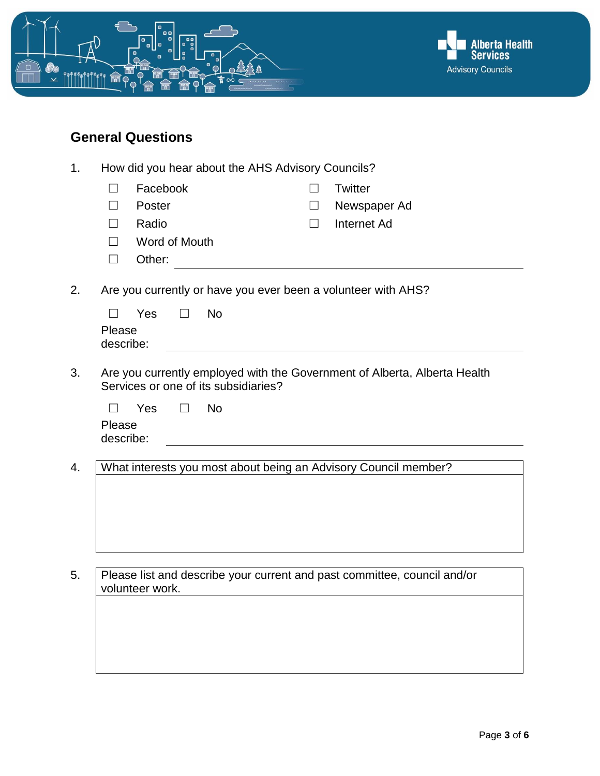

# **General Questions**

| 1. | How did you hear about the AHS Advisory Councils? |                                                                                                                   |         |           |         |                                                                          |  |
|----|---------------------------------------------------|-------------------------------------------------------------------------------------------------------------------|---------|-----------|---------|--------------------------------------------------------------------------|--|
|    | П                                                 | Facebook                                                                                                          |         |           | $\perp$ | <b>Twitter</b>                                                           |  |
|    | $\Box$                                            | Poster                                                                                                            |         |           | $\perp$ | Newspaper Ad                                                             |  |
|    | П                                                 | Radio                                                                                                             |         |           | $\Box$  | Internet Ad                                                              |  |
|    | $\Box$                                            | Word of Mouth                                                                                                     |         |           |         |                                                                          |  |
|    | П                                                 | Other:                                                                                                            |         |           |         |                                                                          |  |
| 2. |                                                   | Are you currently or have you ever been a volunteer with AHS?                                                     |         |           |         |                                                                          |  |
|    | $\perp$                                           | Yes                                                                                                               | $\perp$ | <b>No</b> |         |                                                                          |  |
|    | Please<br>describe:                               |                                                                                                                   |         |           |         |                                                                          |  |
|    |                                                   |                                                                                                                   |         |           |         |                                                                          |  |
| 3. |                                                   | Are you currently employed with the Government of Alberta, Alberta Health<br>Services or one of its subsidiaries? |         |           |         |                                                                          |  |
|    | $\Box$                                            | Yes                                                                                                               |         | <b>No</b> |         |                                                                          |  |
|    | Please                                            |                                                                                                                   |         |           |         |                                                                          |  |
|    | describe:                                         |                                                                                                                   |         |           |         |                                                                          |  |
| 4. |                                                   |                                                                                                                   |         |           |         | What interests you most about being an Advisory Council member?          |  |
|    |                                                   |                                                                                                                   |         |           |         |                                                                          |  |
|    |                                                   |                                                                                                                   |         |           |         |                                                                          |  |
|    |                                                   |                                                                                                                   |         |           |         |                                                                          |  |
|    |                                                   |                                                                                                                   |         |           |         |                                                                          |  |
|    |                                                   |                                                                                                                   |         |           |         |                                                                          |  |
| 5. |                                                   |                                                                                                                   |         |           |         | Please list and describe your current and past committee, council and/or |  |
|    |                                                   | volunteer work.                                                                                                   |         |           |         |                                                                          |  |
|    |                                                   |                                                                                                                   |         |           |         |                                                                          |  |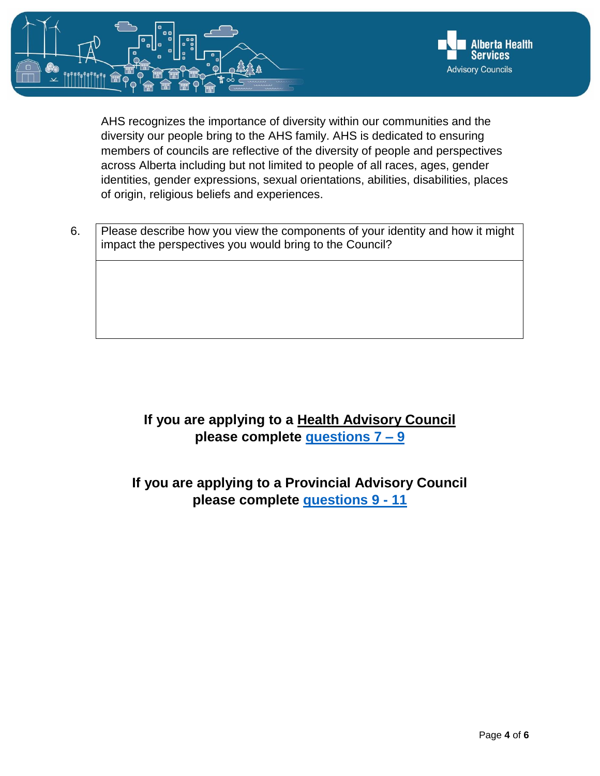

AHS recognizes the importance of diversity within our communities and the diversity our people bring to the AHS family. AHS is dedicated to ensuring members of councils are reflective of the diversity of people and perspectives across Alberta including but not limited to people of all races, ages, gender identities, gender expressions, sexual orientations, abilities, disabilities, places of origin, religious beliefs and experiences.

6. Please describe how you view the components of your identity and how it might impact the perspectives you would bring to the Council?

## **If you are applying to a Health Advisory Council please complete [questions 7 –](#page-4-0) 9**

## **If you are applying to a Provincial Advisory Council please complete [questions 9 -](#page-5-0) 11**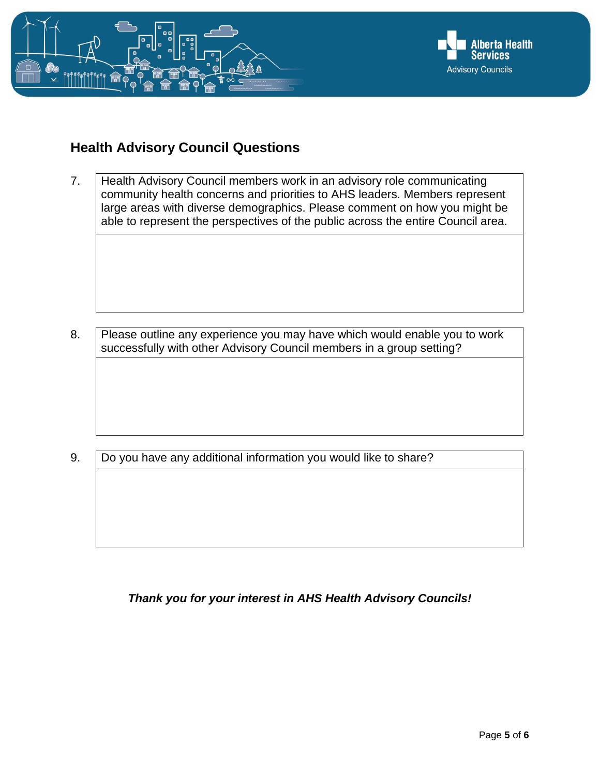

#### <span id="page-4-0"></span>**Health Advisory Council Questions**

7. Health Advisory Council members work in an advisory role communicating community health concerns and priorities to AHS leaders. Members represent large areas with diverse demographics. Please comment on how you might be able to represent the perspectives of the public across the entire Council area.

8. Please outline any experience you may have which would enable you to work successfully with other Advisory Council members in a group setting?

9. Do you have any additional information you would like to share?

#### *Thank you for your interest in AHS Health Advisory Councils!*